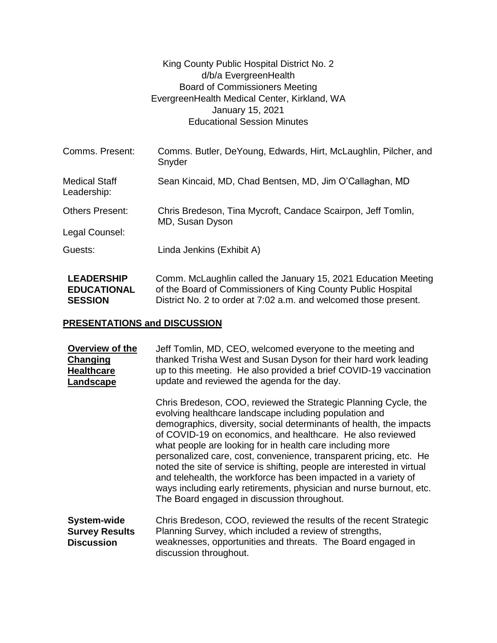|                                         | King County Public Hospital District No. 2<br>d/b/a EvergreenHealth<br><b>Board of Commissioners Meeting</b><br>EvergreenHealth Medical Center, Kirkland, WA<br>January 15, 2021<br><b>Educational Session Minutes</b> |  |
|-----------------------------------------|------------------------------------------------------------------------------------------------------------------------------------------------------------------------------------------------------------------------|--|
| Comms. Present:                         | Comms. Butler, DeYoung, Edwards, Hirt, McLaughlin, Pilcher, and<br>Snyder                                                                                                                                              |  |
| <b>Medical Staff</b><br>Leadership:     | Sean Kincaid, MD, Chad Bentsen, MD, Jim O'Callaghan, MD                                                                                                                                                                |  |
| <b>Others Present:</b>                  | Chris Bredeson, Tina Mycroft, Candace Scairpon, Jeff Tomlin,<br>MD, Susan Dyson                                                                                                                                        |  |
| Legal Counsel:                          |                                                                                                                                                                                                                        |  |
| Guests:                                 | Linda Jenkins (Exhibit A)                                                                                                                                                                                              |  |
| <b>LEADERSHIP</b><br><b>EDUCATIONAL</b> | Comm. McLaughlin called the January 15, 2021 Education Meeting<br>of the Board of Commissioners of King County Public Hospital                                                                                         |  |

## **SESSION** District No. 2 to order at 7:02 a.m. and welcomed those present.

## **PRESENTATIONS and DISCUSSION**

| Overview of the<br><b>Changing</b><br><b>Healthcare</b><br>Landscape | Jeff Tomlin, MD, CEO, welcomed everyone to the meeting and<br>thanked Trisha West and Susan Dyson for their hard work leading<br>up to this meeting. He also provided a brief COVID-19 vaccination<br>update and reviewed the agenda for the day.                                                                                                                                                                                                                                                                                                                                                                                                                     |
|----------------------------------------------------------------------|-----------------------------------------------------------------------------------------------------------------------------------------------------------------------------------------------------------------------------------------------------------------------------------------------------------------------------------------------------------------------------------------------------------------------------------------------------------------------------------------------------------------------------------------------------------------------------------------------------------------------------------------------------------------------|
|                                                                      | Chris Bredeson, COO, reviewed the Strategic Planning Cycle, the<br>evolving healthcare landscape including population and<br>demographics, diversity, social determinants of health, the impacts<br>of COVID-19 on economics, and healthcare. He also reviewed<br>what people are looking for in health care including more<br>personalized care, cost, convenience, transparent pricing, etc. He<br>noted the site of service is shifting, people are interested in virtual<br>and telehealth, the workforce has been impacted in a variety of<br>ways including early retirements, physician and nurse burnout, etc.<br>The Board engaged in discussion throughout. |
| System-wide<br><b>Survey Results</b><br><b>Discussion</b>            | Chris Bredeson, COO, reviewed the results of the recent Strategic<br>Planning Survey, which included a review of strengths,<br>weaknesses, opportunities and threats. The Board engaged in<br>discussion throughout.                                                                                                                                                                                                                                                                                                                                                                                                                                                  |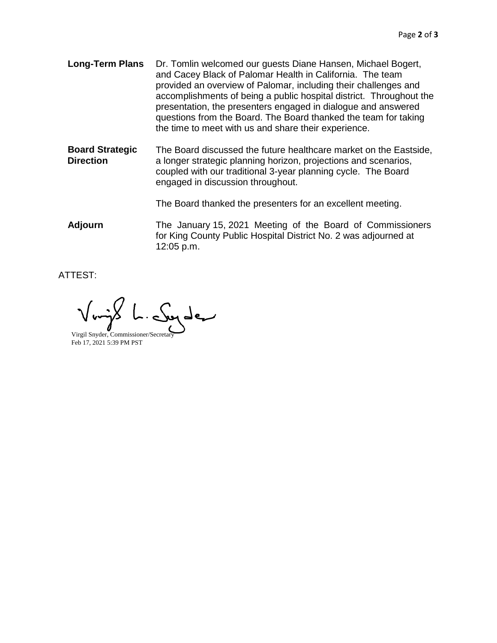- **Long-Term Plans** Dr. Tomlin welcomed our guests Diane Hansen, Michael Bogert, and Cacey Black of Palomar Health in California. The team provided an overview of Palomar, including their challenges and accomplishments of being a public hospital district. Throughout the presentation, the presenters engaged in dialogue and answered questions from the Board. The Board thanked the team for taking the time to meet with us and share their experience.
- **Board Strategic Direction** The Board discussed the future healthcare market on the Eastside, a longer strategic planning horizon, projections and scenarios, coupled with our traditional 3-year planning cycle. The Board engaged in discussion throughout.

The Board thanked the presenters for an excellent meeting.

**Adjourn** The January 15, 2021 Meeting of the Board of Commissioners for King County Public Hospital District No. 2 was adjourned at 12:05 p.m.

ATTEST:

Virgil Snyder, Commissioner/Secretary Feb 17, 2021 5:39 PM PST